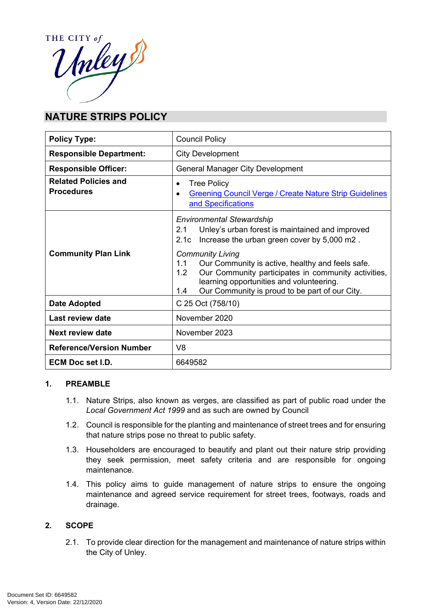

# **NATURE STRIPS POLICY**

| <b>Policy Type:</b>                              | <b>Council Policy</b>                                                                                                                                                                                                                                                                                                                                                                                     |
|--------------------------------------------------|-----------------------------------------------------------------------------------------------------------------------------------------------------------------------------------------------------------------------------------------------------------------------------------------------------------------------------------------------------------------------------------------------------------|
| <b>Responsible Department:</b>                   | <b>City Development</b>                                                                                                                                                                                                                                                                                                                                                                                   |
| <b>Responsible Officer:</b>                      | <b>General Manager City Development</b>                                                                                                                                                                                                                                                                                                                                                                   |
| <b>Related Policies and</b><br><b>Procedures</b> | <b>Tree Policy</b><br>$\bullet$<br><b>Greening Council Verge / Create Nature Strip Guidelines</b><br>$\bullet$<br>and Specifications                                                                                                                                                                                                                                                                      |
| <b>Community Plan Link</b>                       | <b>Environmental Stewardship</b><br>Unley's urban forest is maintained and improved<br>21<br>Increase the urban green cover by 5,000 m2.<br>2.1c<br><b>Community Living</b><br>Our Community is active, healthy and feels safe.<br>1.1<br>Our Community participates in community activities,<br>1.2<br>learning opportunities and volunteering.<br>Our Community is proud to be part of our City.<br>1.4 |
| <b>Date Adopted</b>                              | C 25 Oct (758/10)                                                                                                                                                                                                                                                                                                                                                                                         |
| <b>Last review date</b>                          | November 2020                                                                                                                                                                                                                                                                                                                                                                                             |
| <b>Next review date</b>                          | November 2023                                                                                                                                                                                                                                                                                                                                                                                             |
| <b>Reference/Version Number</b>                  | V <sub>8</sub>                                                                                                                                                                                                                                                                                                                                                                                            |
| <b>ECM Doc set I.D.</b>                          | 6649582                                                                                                                                                                                                                                                                                                                                                                                                   |

#### **1. PREAMBLE**

- 1.1. Nature Strips, also known as verges, are classified as part of public road under the *Local Government Act 1999* and as such are owned by Council
- 1.2. Council is responsible for the planting and maintenance of street trees and for ensuring that nature strips pose no threat to public safety.
- 1.3. Householders are encouraged to beautify and plant out their nature strip providing they seek permission, meet safety criteria and are responsible for ongoing maintenance.
- 1.4. This policy aims to guide management of nature strips to ensure the ongoing maintenance and agreed service requirement for street trees, footways, roads and drainage.

# **2. SCOPE**

2.1. To provide clear direction for the management and maintenance of nature strips within the City of Unley.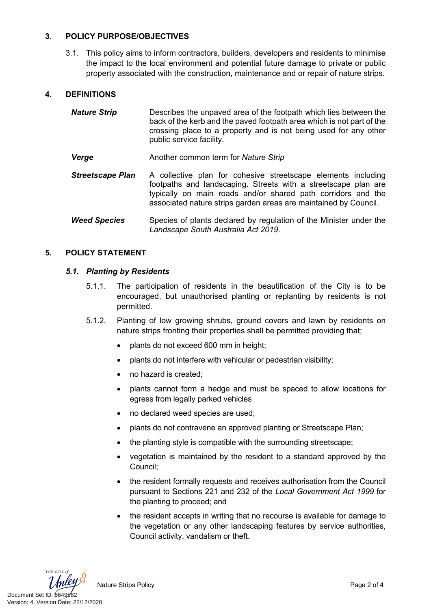# **3. POLICY PURPOSE/OBJECTIVES**

3.1. This policy aims to inform contractors, builders, developers and residents to minimise the impact to the local environment and potential future damage to private or public property associated with the construction, maintenance and or repair of nature strips.

#### **4. DEFINITIONS**

| <b>Nature Strip</b>     | Describes the unpaved area of the footpath which lies between the<br>back of the kerb and the paved footpath area which is not part of the<br>crossing place to a property and is not being used for any other<br>public service facility.                          |
|-------------------------|---------------------------------------------------------------------------------------------------------------------------------------------------------------------------------------------------------------------------------------------------------------------|
| Verge                   | Another common term for Nature Strip                                                                                                                                                                                                                                |
| <b>Streetscape Plan</b> | A collective plan for cohesive streetscape elements including<br>footpaths and landscaping. Streets with a streetscape plan are<br>typically on main roads and/or shared path corridors and the<br>associated nature strips garden areas are maintained by Council. |
| <b>Weed Species</b>     | Species of plants declared by regulation of the Minister under the<br>Landscape South Australia Act 2019.                                                                                                                                                           |

#### **5. POLICY STATEMENT**

#### *5.1. Planting by Residents*

- 5.1.1. The participation of residents in the beautification of the City is to be encouraged, but unauthorised planting or replanting by residents is not permitted.
- 5.1.2. Planting of low growing shrubs, ground covers and lawn by residents on nature strips fronting their properties shall be permitted providing that;
	- plants do not exceed 600 mm in height;
	- plants do not interfere with vehicular or pedestrian visibility;
	- no hazard is created:
	- plants cannot form a hedge and must be spaced to allow locations for egress from legally parked vehicles
	- no declared weed species are used;
	- plants do not contravene an approved planting or Streetscape Plan;
	- the planting style is compatible with the surrounding streetscape;
	- vegetation is maintained by the resident to a standard approved by the Council;
	- the resident formally requests and receives authorisation from the Council pursuant to Sections 221 and 232 of the *Local Government Act 1999* for the planting to proceed; and
	- the resident accepts in writing that no recourse is available for damage to the vegetation or any other landscaping features by service authorities, Council activity, vandalism or theft.



Nature Strips Policy **Page 2 of 4** Nature Strips Policy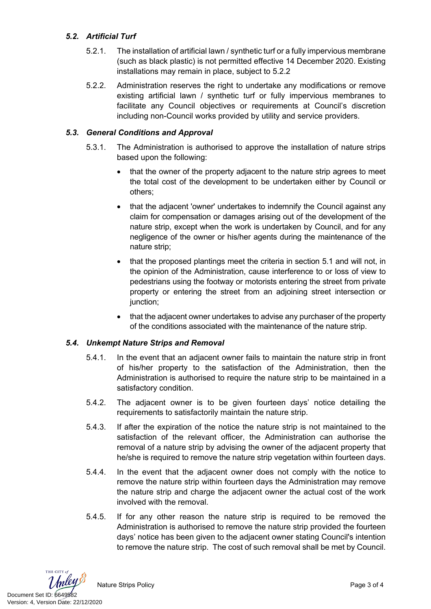# *5.2. Artificial Turf*

- 5.2.1. The installation of artificial lawn / synthetic turf or a fully impervious membrane (such as black plastic) is not permitted effective 14 December 2020. Existing installations may remain in place, subject to 5.2.2
- 5.2.2. Administration reserves the right to undertake any modifications or remove existing artificial lawn / synthetic turf or fully impervious membranes to facilitate any Council objectives or requirements at Council's discretion including non-Council works provided by utility and service providers.

# *5.3. General Conditions and Approval*

- 5.3.1. The Administration is authorised to approve the installation of nature strips based upon the following:
	- that the owner of the property adjacent to the nature strip agrees to meet the total cost of the development to be undertaken either by Council or others;
	- that the adjacent 'owner' undertakes to indemnify the Council against any claim for compensation or damages arising out of the development of the nature strip, except when the work is undertaken by Council, and for any negligence of the owner or his/her agents during the maintenance of the nature strip;
	- that the proposed plantings meet the criteria in section 5.1 and will not, in the opinion of the Administration, cause interference to or loss of view to pedestrians using the footway or motorists entering the street from private property or entering the street from an adjoining street intersection or junction;
	- that the adjacent owner undertakes to advise any purchaser of the property of the conditions associated with the maintenance of the nature strip.

# *5.4. Unkempt Nature Strips and Removal*

- 5.4.1. In the event that an adjacent owner fails to maintain the nature strip in front of his/her property to the satisfaction of the Administration, then the Administration is authorised to require the nature strip to be maintained in a satisfactory condition.
- 5.4.2. The adjacent owner is to be given fourteen days' notice detailing the requirements to satisfactorily maintain the nature strip.
- 5.4.3. If after the expiration of the notice the nature strip is not maintained to the satisfaction of the relevant officer, the Administration can authorise the removal of a nature strip by advising the owner of the adjacent property that he/she is required to remove the nature strip vegetation within fourteen days.
- 5.4.4. In the event that the adjacent owner does not comply with the notice to remove the nature strip within fourteen days the Administration may remove the nature strip and charge the adjacent owner the actual cost of the work involved with the removal.
- 5.4.5. If for any other reason the nature strip is required to be removed the Administration is authorised to remove the nature strip provided the fourteen days' notice has been given to the adjacent owner stating Council's intention to remove the nature strip. The cost of such removal shall be met by Council.